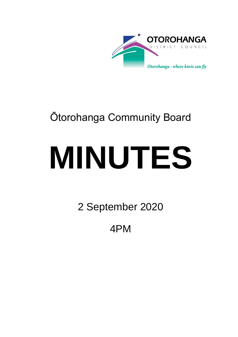

## Ōtorohanga Community Board

# **MINUTES**

2 September 2020

4PM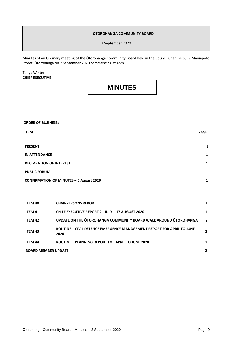#### **ŌTOROHANGA COMMUNITY BOARD**

2 September 2020

Minutes of an Ordinary meeting of the Ōtorohanga Community Board held in the Council Chambers, 17 Maniapoto Street, Ōtorohanga on 2 September 2020 commencing at 4pm.

Tanya Winter **CHIEF EXECUTIVE**

### **MINUTES**

**ORDER OF BUSINESS:**

| <b>ITEM</b>                                    | <b>PAGE</b> |
|------------------------------------------------|-------------|
| <b>PRESENT</b>                                 | 1           |
| <b>IN ATTENDANCE</b>                           | 1           |
| <b>DECLARATION OF INTEREST</b>                 | 1           |
| <b>PUBLIC FORUM</b>                            | 1           |
| <b>CONFIRMATION OF MINUTES - 5 August 2020</b> | 1           |

| <b>ITEM 40</b>             | <b>CHAIRPERSONS REPORT</b>                                                    |                |
|----------------------------|-------------------------------------------------------------------------------|----------------|
| <b>ITEM 41</b>             | <b>CHIEF EXECUTIVE REPORT 21 JULY - 17 AUGUST 2020</b>                        |                |
| ITEM 42                    | UPDATE ON THE OTOROHANGA COMMUNITY BOARD WALK AROUND OTOROHANGA               | $\overline{2}$ |
| <b>ITEM 43</b>             | ROUTINE - CIVIL DEFENCE EMERGENCY MANAGEMENT REPORT FOR APRIL TO JUNE<br>2020 |                |
| <b>ITEM 44</b>             | <b>ROUTINE - PLANNING REPORT FOR APRIL TO JUNE 2020</b>                       | $\mathbf{2}$   |
| <b>BOARD MEMBER UPDATE</b> |                                                                               | 2              |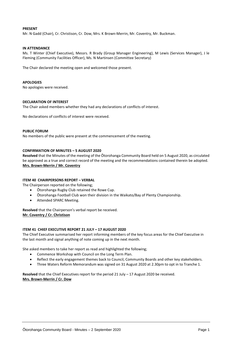#### **PRESENT**

Mr. N Gadd (Chair), Cr. Christison, Cr. Dow, Mrs. K Brown-Merrin, Mr. Coventry, Mr. Buckman.

#### **IN ATTENDANCE**

Ms. T Winter (Chief Executive), Messrs. R Brady (Group Manager Engineering), M Lewis (Services Manager), J le Fleming (Community Facilities Officer), Ms. N Martinsen (Committee Secretary)

The Chair declared the meeting open and welcomed those present.

#### **APOLOGIES**

No apologies were received.

#### **DECLARATION OF INTEREST**

The Chair asked members whether they had any declarations of conflicts of interest.

No declarations of conflicts of interest were received.

#### **PUBLIC FORUM**

No members of the public were present at the commencement of the meeting.

#### **CONFIRMATION OF MINUTES – 5 AUGUST 2020**

**Resolved** that the Minutes of the meeting of the Ōtorohanga Community Board held on 5 August 2020, as circulated be approved as a true and correct record of the meeting and the recommendations contained therein be adopted. **Mrs. Brown-Merrin / Mr. Coventry**

#### **ITEM 40 CHAIRPERSONS REPORT – VERBAL**

The Chairperson reported on the following;

- Ōtorohanga Rugby Club retained the Rowe Cup.
- Ōtorohanga Football Club won their division in the Waikato/Bay of Plenty Championship.
- Attended SPARC Meeting.

**Resolved** that the Chairperson's verbal report be received. **Mr. Coventry / Cr. Christison**

#### **ITEM 41 CHIEF EXECUTIVE REPORT 21 JULY – 17 AUGUST 2020**

The Chief Executive summarised her report informing members of the key focus areas for the Chief Executive in the last month and signal anything of note coming up in the next month.

She asked members to take her report as read and highlighted the following;

- Commence Workshop with Council on the Long Term Plan.
- Reflect the early engagement themes back to Council, Community Boards and other key stakeholders.
- Three Waters Reform Memorandum was signed on 31 August 2020 at 2.30pm to opt in to Tranche 1.

**Resolved** that the Chief Executives report for the period 21 July – 17 August 2020 be received. **Mrs. Brown-Merrin / Cr. Dow**